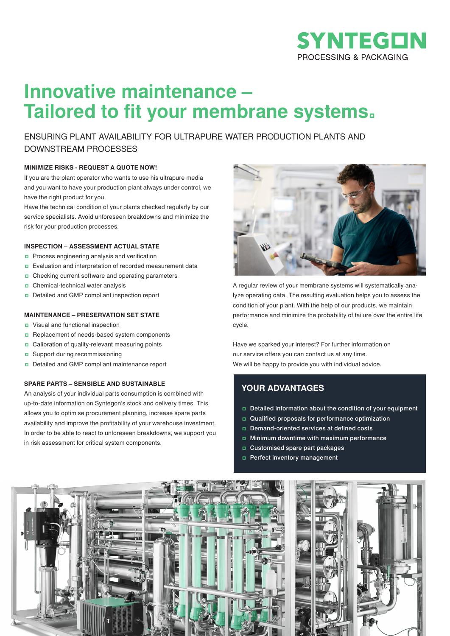

# **Innovative maintenance – Tailored to fit your membrane systems.**

ENSURING PLANT AVAILABILITY FOR ULTRAPURE WATER PRODUCTION PLANTS AND DOWNSTREAM PROCESSES

#### **MINIMIZE RISKS - REQUEST A QUOTE NOW!**

If you are the plant operator who wants to use his ultrapure media and you want to have your production plant always under control, we have the right product for you.

Have the technical condition of your plants checked regularly by our service specialists. Avoid unforeseen breakdowns and minimize the risk for your production processes.

## **INSPECTION – ASSESSMENT ACTUAL STATE**

- ʨ Process engineering analysis and verification
- □ Evaluation and interpretation of recorded measurement data
- ʨ Checking current software and operating parameters
- ʨ Chemical-technical water analysis
- ʨ Detailed and GMP compliant inspection report

# **MAINTENANCE – PRESERVATION SET STATE**

- ʨ Visual and functional inspection
- ʨ Replacement of needs-based system components
- ʨ Calibration of quality-relevant measuring points
- ʨ Support during recommissioning
- ʨ Detailed and GMP compliant maintenance report

### **SPARE PARTS – SENSIBLE AND SUSTAINABLE**

An analysis of your individual parts consumption is combined with up-to-date information on Syntegon's stock and delivery times. This allows you to optimise procurement planning, increase spare parts availability and improve the profitability of your warehouse investment. In order to be able to react to unforeseen breakdowns, we support you in risk assessment for critical system components.



A regular review of your membrane systems will systematically analyze operating data. The resulting evaluation helps you to assess the condition of your plant. With the help of our products, we maintain performance and minimize the probability of failure over the entire life cycle.

Have we sparked your interest? For further information on our service offers you can contact us at any time. We will be happy to provide you with individual advice.

# **YOUR ADVANTAGES**

- ʨ Detailed information about the condition of your equipment
- ʨ Qualified proposals for performance optimization
- ʨ Demand-oriented services at defined costs
- ʨ Minimum downtime with maximum performance
- ʨ Customised spare part packages
- ʨ Perfect inventory management